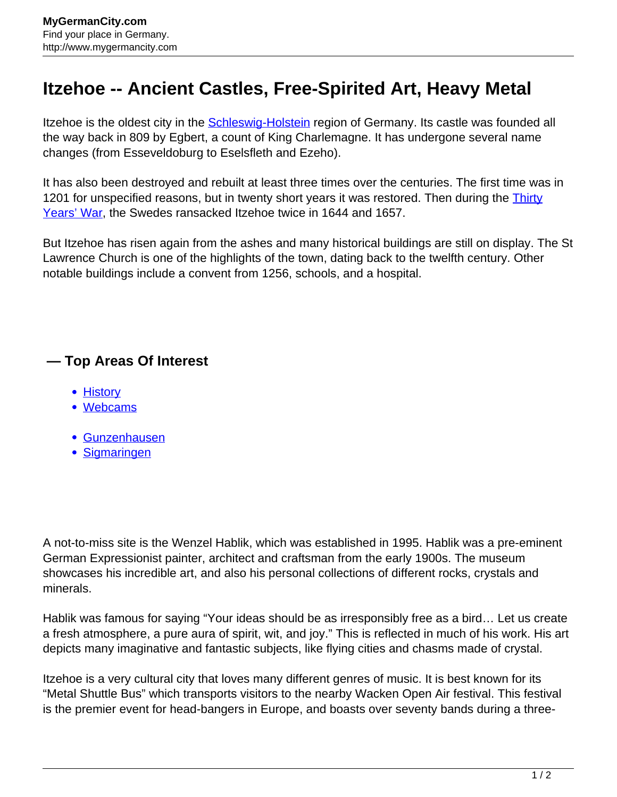## **Itzehoe -- Ancient Castles, Free-Spirited Art, Heavy Metal**

Itzehoe is the oldest city in the **Schleswig-Holstein** region of Germany. Its castle was founded all the way back in 809 by Egbert, a count of King Charlemagne. It has undergone several name changes (from Esseveldoburg to Eselsfleth and Ezeho).

It has also been destroyed and rebuilt at least three times over the centuries. The first time was in 1201 for unspecified reasons, but in twenty short years it was restored. Then during the **[Thirty](http://www.mygermancity.com/thirty-years-war)** [Years' War,](http://www.mygermancity.com/thirty-years-war) the Swedes ransacked Itzehoe twice in 1644 and 1657.

But Itzehoe has risen again from the ashes and many historical buildings are still on display. The St Lawrence Church is one of the highlights of the town, dating back to the twelfth century. Other notable buildings include a convent from 1256, schools, and a hospital.

## **— Top Areas Of Interest**

- [History](http://www.mygermancity.com/leipzig-history)
- [Webcams](http://www.mygermancity.com/neustadt-holstein-webcams)
- [Gunzenhausen](http://www.mygermancity.com/gunzenhausen)
- [Sigmaringen](http://www.mygermancity.com/sigmaringen)

A not-to-miss site is the Wenzel Hablik, which was established in 1995. Hablik was a pre-eminent German Expressionist painter, architect and craftsman from the early 1900s. The museum showcases his incredible art, and also his personal collections of different rocks, crystals and minerals.

Hablik was famous for saying "Your ideas should be as irresponsibly free as a bird… Let us create a fresh atmosphere, a pure aura of spirit, wit, and joy." This is reflected in much of his work. His art depicts many imaginative and fantastic subjects, like flying cities and chasms made of crystal.

Itzehoe is a very cultural city that loves many different genres of music. It is best known for its "Metal Shuttle Bus" which transports visitors to the nearby Wacken Open Air festival. This festival is the premier event for head-bangers in Europe, and boasts over seventy bands during a three